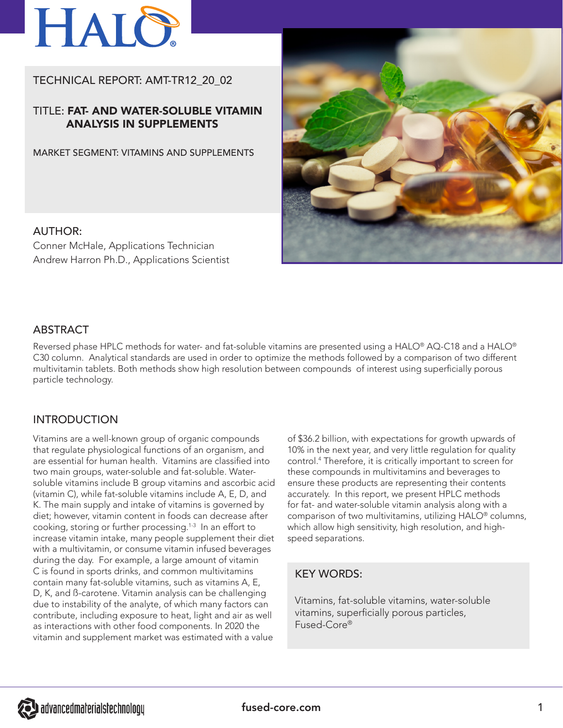

# TECHNICAL REPORT: AMT-TR12\_20\_02

## TITLE: FAT- AND WATER-SOLUBLE VITAMIN ANALYSIS IN SUPPLEMENTS

MARKET SEGMENT: VITAMINS AND SUPPLEMENTS



### AUTHOR:

Conner McHale, Applications Technician Andrew Harron Ph.D., Applications Scientist

## ABSTRACT

Reversed phase HPLC methods for water- and fat-soluble vitamins are presented using a HALO® AQ-C18 and a HALO® C30 column. Analytical standards are used in order to optimize the methods followed by a comparison of two different multivitamin tablets. Both methods show high resolution between compounds of interest using superficially porous particle technology.

## INTRODUCTION

Vitamins are a well-known group of organic compounds that regulate physiological functions of an organism, and are essential for human health. Vitamins are classified into two main groups, water-soluble and fat-soluble. Watersoluble vitamins include B group vitamins and ascorbic acid (vitamin C), while fat-soluble vitamins include A, E, D, and K. The main supply and intake of vitamins is governed by diet; however, vitamin content in foods can decrease after cooking, storing or further processing.1-3 In an effort to increase vitamin intake, many people supplement their diet with a multivitamin, or consume vitamin infused beverages during the day. For example, a large amount of vitamin C is found in sports drinks, and common multivitamins contain many fat-soluble vitamins, such as vitamins A, E, D, K, and ß-carotene. Vitamin analysis can be challenging due to instability of the analyte, of which many factors can contribute, including exposure to heat, light and air as well as interactions with other food components. In 2020 the vitamin and supplement market was estimated with a value

of \$36.2 billion, with expectations for growth upwards of 10% in the next year, and very little regulation for quality control.4 Therefore, it is critically important to screen for these compounds in multivitamins and beverages to ensure these products are representing their contents accurately. In this report, we present HPLC methods for fat- and water-soluble vitamin analysis along with a comparison of two multivitamins, utilizing HALO® columns, which allow high sensitivity, high resolution, and highspeed separations.

## KEY WORDS:

Vitamins, fat-soluble vitamins, water-soluble vitamins, superficially porous particles, Fused-Core®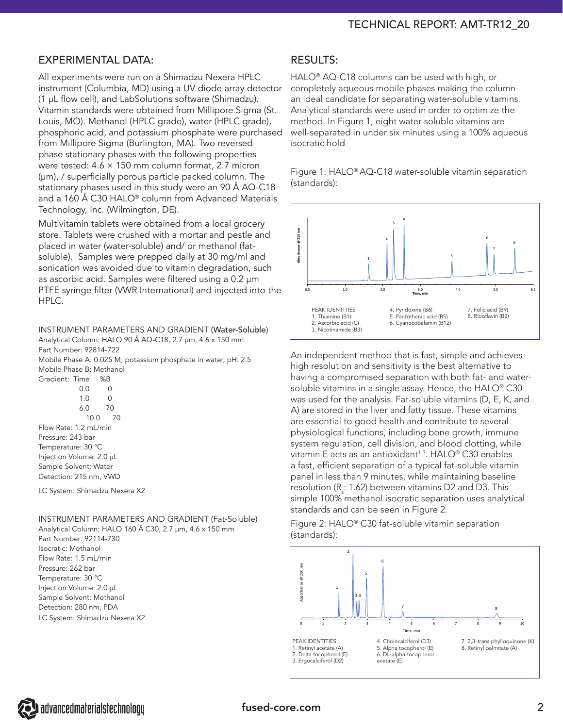# EXPERIMENTAL DATA:

All experiments were run on a Shimadzu Nexera HPLC instrument (Columbia, MD) using a UV diode array detector (1 µL flow cell), and LabSolutions software (Shimadzu). Vitamin standards were obtained from Millipore Sigma (St. Louis, MO). Methanol (HPLC grade), water (HPLC grade), phosphoric acid, and potassium phosphate were purchased from Millipore Sigma (Burlington, MA). Two reversed phase stationary phases with the following properties were tested: 4.6 × 150 mm column format, 2.7 micron (µm), / superficially porous particle packed column. The stationary phases used in this study were an 90 Å AQ-C18 and a 160 Å C30 HALO® column from Advanced Materials Technology, Inc. (Wilmington, DE).

Multivitamin tablets were obtained from a local grocery store. Tablets were crushed with a mortar and pestle and placed in water (water-soluble) and/ or methanol (fatsoluble). Samples were prepped daily at 30 mg/ml and sonication was avoided due to vitamin degradation, such as ascorbic acid. Samples were filtered using a 0.2 µm PTFE syringe filter (VWR International) and injected into the HPLC.

INSTRUMENT PARAMETERS AND GRADIENT (Water-Soluble) Analytical Column: HALO 90 Å AQ-C18, 2.7 µm, 4.6 x 150 mm Part Number: 92814-722

Mobile Phase A: 0.025 M, potassium phosphate in water, pH: 2.5 Mobile Phase B: Methanol

Gradient: Time %B 0.0 0 1.0 0 6.0 70 10.0 70 Flow Rate: 1.2 mL/min Pressure: 243 bar Temperature: 30 °C Injection Volume: 2.0 µL Sample Solvent: Water Detection: 215 nm, VWD

LC System: Shimadzu Nexera X2

INSTRUMENT PARAMETERS AND GRADIENT (Fat-Soluble) Analytical Column: HALO 160 Å C30, 2.7 µm, 4.6 x 150 mm

Part Number: 92114-730 Isocratic: Methanol Flow Rate: 1.5 mL/min Pressure: 262 bar Temperature: 30 °C Injection Volume: 2.0 µL Sample Solvent: Methanol Detection: 280 nm, PDA LC System: Shimadzu Nexera X2

### RESULTS:

HALO® AQ-C18 columns can be used with high, or completely aqueous mobile phases making the column an ideal candidate for separating water-soluble vitamins. Analytical standards were used in order to optimize the method. In Figure 1, eight water-soluble vitamins are well-separated in under six minutes using a 100% aqueous isocratic hold

Figure 1: HALO® AQ-C18 water-soluble vitamin separation (standards):



An independent method that is fast, simple and achieves high resolution and sensitivity is the best alternative to having a compromised separation with both fat- and watersoluble vitamins in a single assay. Hence, the HALO® C30 was used for the analysis. Fat-soluble vitamins (D, E, K, and A) are stored in the liver and fatty tissue. These vitamins are essential to good health and contribute to several physiological functions, including bone growth, immune system regulation, cell division, and blood clotting, while vitamin E acts as an antioxidant<sup>1-3</sup>. HALO® C30 enables a fast, efficient separation of a typical fat-soluble vitamin panel in less than 9 minutes, while maintaining baseline resolution (R $_{\rm s}$ : 1.62) between vitamins D2 and D3. This simple 100% methanol isocratic separation uses analytical standards and can be seen in Figure 2.

Figure 2: HALO® C30 fat-soluble vitamin separation (standards):